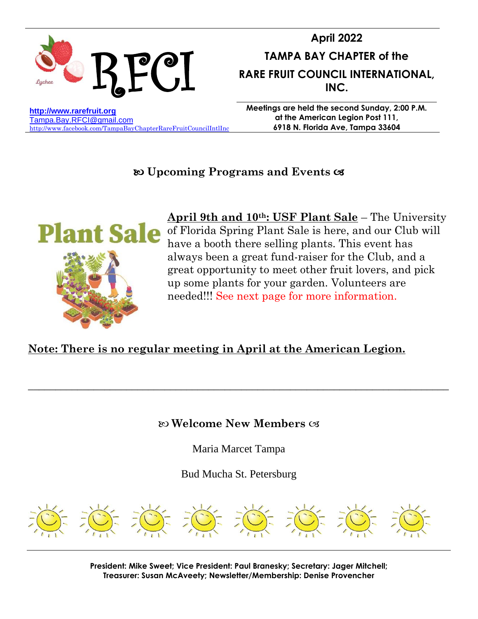

# **April 2022 TAMPA BAY CHAPTER of the RARE FRUIT COUNCIL INTERNATIONAL, INC.**

**[http://www.rarefruit.org](http://www.rarefruit.org/)** [Tampa.Bay.RFCI@gmail.com](mailto:TampaBayRFCI@tampabay.rr.com) <http://www.facebook.com/TampaBayChapterRareFruitCouncilIntlInc> **Meetings are held the second Sunday, 2:00 P.M. at the American Legion Post 111, 6918 N. Florida Ave, Tampa 33604**

## **Upcoming Programs and Events**



**April 9th and 10th: USF Plant Sale** – The University Plant Sale of Florida Spring Plant Sale is here, and our Club will have a booth there selling plants. This event has always been a great fund-raiser for the Club, and a great opportunity to meet other fruit lovers, and pick up some plants for your garden. Volunteers are needed!!! See next page for more information.

## **Note: There is no regular meeting in April at the American Legion.**

**Welcome New Members** 

\_\_\_\_\_\_\_\_\_\_\_\_\_\_\_\_\_\_\_\_\_\_\_\_\_\_\_\_\_\_\_\_\_\_\_\_\_\_\_\_\_\_\_\_\_\_\_\_\_\_\_\_\_\_\_\_\_\_\_\_\_\_\_\_\_\_\_\_\_\_\_\_\_\_\_\_\_

Maria Marcet Tampa

Bud Mucha St. Petersburg



**President: Mike Sweet; Vice President: Paul Branesky; Secretary: Jager Mitchell; Treasurer: Susan McAveety; Newsletter/Membership: Denise Provencher**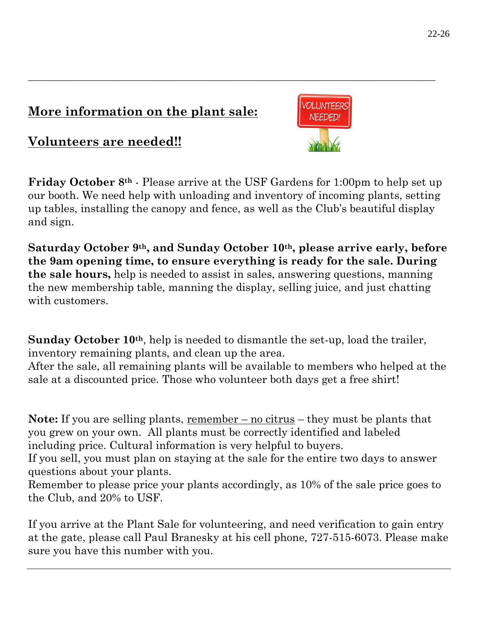# **More information on the plant sale:**

**Volunteers are needed!!** 

**Friday October 8th** - Please arrive at the USF Gardens for 1:00pm to help set up our booth. We need help with unloading and inventory of incoming plants, setting up tables, installing the canopy and fence, as well as the Club's beautiful display and sign.

\_\_\_\_\_\_\_\_\_\_\_\_\_\_\_\_\_\_\_\_\_\_\_\_\_\_\_\_\_\_\_\_\_\_\_\_\_\_\_\_\_\_\_\_\_\_\_\_\_\_\_\_\_\_\_\_\_\_\_\_\_\_\_\_\_\_\_\_\_\_\_\_\_\_\_\_\_\_\_\_\_\_\_\_\_\_\_

**Saturday October 9th , and Sunday October 10th , please arrive early, before the 9am opening time, to ensure everything is ready for the sale. During the sale hours,** help is needed to assist in sales, answering questions, manning the new membership table, manning the display, selling juice, and just chatting with customers.

**Sunday October 10th**, help is needed to dismantle the set-up, load the trailer, inventory remaining plants, and clean up the area.

After the sale, all remaining plants will be available to members who helped at the sale at a discounted price. Those who volunteer both days get a free shirt!

**Note:** If you are selling plants, remember – no citrus – they must be plants that you grew on your own. All plants must be correctly identified and labeled including price. Cultural information is very helpful to buyers.

If you sell, you must plan on staying at the sale for the entire two days to answer questions about your plants.

Remember to please price your plants accordingly, as 10% of the sale price goes to the Club, and 20% to USF.

If you arrive at the Plant Sale for volunteering, and need verification to gain entry at the gate, please call Paul Branesky at his cell phone, 727-515-6073. Please make sure you have this number with you.

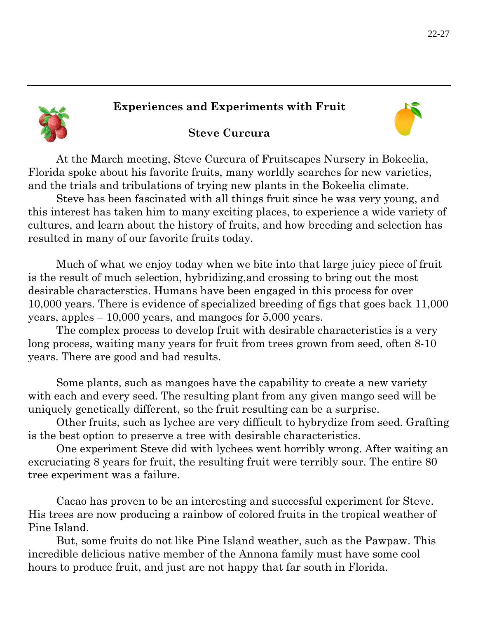### **Experiences and Experiments with Fruit**



### **Steve Curcura**

At the March meeting, Steve Curcura of Fruitscapes Nursery in Bokeelia, Florida spoke about his favorite fruits, many worldly searches for new varieties, and the trials and tribulations of trying new plants in the Bokeelia climate.

Steve has been fascinated with all things fruit since he was very young, and this interest has taken him to many exciting places, to experience a wide variety of cultures, and learn about the history of fruits, and how breeding and selection has resulted in many of our favorite fruits today.

Much of what we enjoy today when we bite into that large juicy piece of fruit is the result of much selection, hybridizing,and crossing to bring out the most desirable characterstics. Humans have been engaged in this process for over 10,000 years. There is evidence of specialized breeding of figs that goes back 11,000 years, apples – 10,000 years, and mangoes for 5,000 years.

The complex process to develop fruit with desirable characteristics is a very long process, waiting many years for fruit from trees grown from seed, often 8-10 years. There are good and bad results.

Some plants, such as mangoes have the capability to create a new variety with each and every seed. The resulting plant from any given mango seed will be uniquely genetically different, so the fruit resulting can be a surprise.

Other fruits, such as lychee are very difficult to hybrydize from seed. Grafting is the best option to preserve a tree with desirable characteristics.

One experiment Steve did with lychees went horribly wrong. After waiting an excruciating 8 years for fruit, the resulting fruit were terribly sour. The entire 80 tree experiment was a failure.

Cacao has proven to be an interesting and successful experiment for Steve. His trees are now producing a rainbow of colored fruits in the tropical weather of Pine Island.

But, some fruits do not like Pine Island weather, such as the Pawpaw. This incredible delicious native member of the Annona family must have some cool hours to produce fruit, and just are not happy that far south in Florida.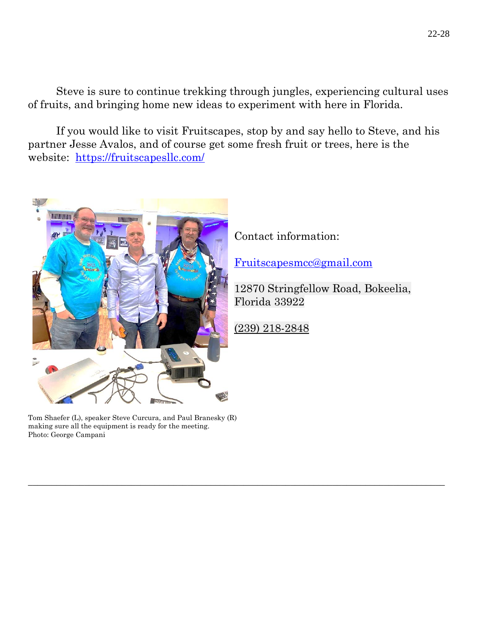Steve is sure to continue trekking through jungles, experiencing cultural uses of fruits, and bringing home new ideas to experiment with here in Florida.

If you would like to visit Fruitscapes, stop by and say hello to Steve, and his partner Jesse Avalos, and of course get some fresh fruit or trees, here is the website: <https://fruitscapesllc.com/>



Contact information:

[Fruitscapesmcc@gmail.com](mailto:Fruitscapesmcc@gmail.com)

12870 Stringfellow Road, Bokeelia, Florida 33922

(239) 218-2848

\_\_\_\_\_\_\_\_\_\_\_\_\_\_\_\_\_\_\_\_\_\_\_\_\_\_\_\_\_\_\_\_\_\_\_\_\_\_\_\_\_\_\_\_\_\_\_\_\_\_\_\_\_\_\_\_\_\_\_\_\_\_\_\_\_\_\_\_\_\_\_\_\_\_\_\_\_\_\_\_\_\_\_\_\_\_\_\_\_

Tom Shaefer (L), speaker Steve Curcura, and Paul Branesky (R) making sure all the equipment is ready for the meeting. Photo: George Campani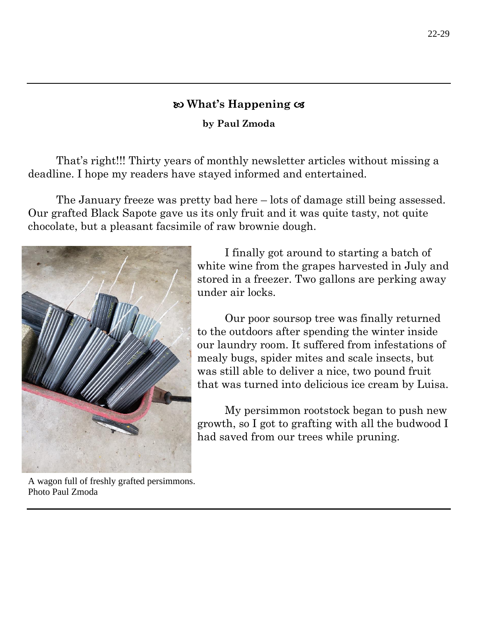### **What's Happening**

**by Paul Zmoda**

That's right!!! Thirty years of monthly newsletter articles without missing a deadline. I hope my readers have stayed informed and entertained.

The January freeze was pretty bad here – lots of damage still being assessed. Our grafted Black Sapote gave us its only fruit and it was quite tasty, not quite chocolate, but a pleasant facsimile of raw brownie dough.



I finally got around to starting a batch of white wine from the grapes harvested in July and stored in a freezer. Two gallons are perking away under air locks.

Our poor soursop tree was finally returned to the outdoors after spending the winter inside our laundry room. It suffered from infestations of mealy bugs, spider mites and scale insects, but was still able to deliver a nice, two pound fruit that was turned into delicious ice cream by Luisa.

My persimmon rootstock began to push new growth, so I got to grafting with all the budwood I had saved from our trees while pruning.

A wagon full of freshly grafted persimmons. Photo Paul Zmoda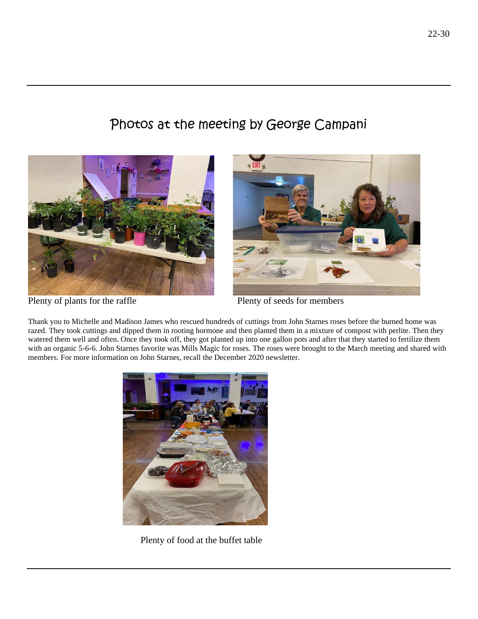# Photos at the meeting by George Campani





Plenty of plants for the raffle Plenty of seeds for members

Thank you to Michelle and Madison James who rescued hundreds of cuttings from John Starnes roses before the burned home was razed. They took cuttings and dipped them in rooting hormone and then planted them in a mixture of compost with perlite. Then they watered them well and often. Once they took off, they got planted up into one gallon pots and after that they started to fertilize them with an organic 5-6-6. John Starnes favorite was Mills Magic for roses. The roses were brought to the March meeting and shared with members. For more information on John Starnes, recall the December 2020 newsletter.



Plenty of food at the buffet table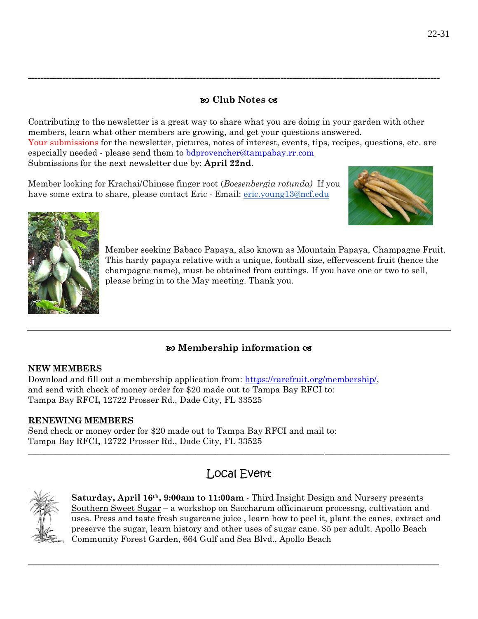#### **Club Notes**

**------------------------------------------------------------------------------------------------------------------------------------**

Contributing to the newsletter is a great way to share what you are doing in your garden with other members, learn what other members are growing, and get your questions answered. Your submissions for the newsletter, pictures, notes of interest, events, tips, recipes, questions, etc. are especially needed - please send them to [bdprovencher@tampabay.rr.com](mailto:bdprovencher@tampabay.rr.com)  Submissions for the next newsletter due by: **April 22nd**.

Member looking for Krachai/Chinese finger root (*Boesenbergia rotunda)* If you have some extra to share, please contact Eric - Email: [eric.young13@ncf.edu](mailto:eric.young13@ncf.edu)





Member seeking Babaco Papaya, also known as Mountain Papaya, Champagne Fruit. This hardy papaya relative with a unique, football size, effervescent fruit (hence the champagne name), must be obtained from cuttings. If you have one or two to sell, please bring in to the May meeting. Thank you.

### **Membership information**

#### **NEW MEMBERS**

Download and fill out a membership application from: [https://rarefruit.org/membership/,](https://rarefruit.org/membership/) and send with check of money order for \$20 made out to Tampa Bay RFCI to: Tampa Bay RFCI**,** 12722 Prosser Rd., Dade City, FL 33525

#### **RENEWING MEMBERS**

Send check or money order for \$20 made out to Tampa Bay RFCI and mail to: Tampa Bay RFCI**,** 12722 Prosser Rd., Dade City, FL 33525

## Local Event

\_\_\_\_\_\_\_\_\_\_\_\_\_\_\_\_\_\_\_\_\_\_\_\_\_\_\_\_\_\_\_\_\_\_\_\_\_\_\_\_\_\_\_\_\_\_\_\_\_\_\_\_\_\_\_\_\_\_\_\_\_\_\_\_\_\_\_\_\_\_\_\_\_\_\_\_\_\_\_

 $\_$  ,  $\_$  ,  $\_$  ,  $\_$  ,  $\_$  ,  $\_$  ,  $\_$  ,  $\_$  ,  $\_$  ,  $\_$  ,  $\_$  ,  $\_$  ,  $\_$  ,  $\_$  ,  $\_$  ,  $\_$  ,  $\_$  ,  $\_$  ,  $\_$  ,  $\_$  ,  $\_$  ,  $\_$  ,  $\_$  ,  $\_$  ,  $\_$  ,  $\_$  ,  $\_$  ,  $\_$  ,  $\_$  ,  $\_$  ,  $\_$  ,  $\_$  ,  $\_$  ,  $\_$  ,  $\_$  ,  $\_$  ,  $\_$  ,



**Saturday, April 16th, 9:00am to 11:00am** - Third Insight Design and Nursery presents Southern Sweet Sugar – a workshop on Saccharum officinarum processng, cultivation and uses. Press and taste fresh sugarcane juice , learn how to peel it, plant the canes, extract and preserve the sugar, learn history and other uses of sugar cane. \$5 per adult. Apollo Beach Community Forest Garden, 664 Gulf and Sea Blvd., Apollo Beach